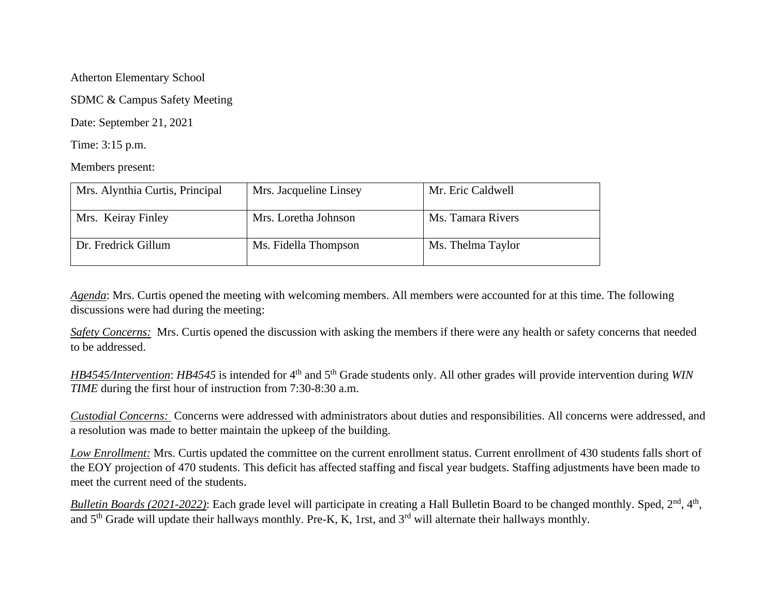Atherton Elementary School

SDMC & Campus Safety Meeting

Date: September 21, 2021

Time: 3:15 p.m.

Members present:

| Mrs. Alynthia Curtis, Principal | Mrs. Jacqueline Linsey | Mr. Eric Caldwell |
|---------------------------------|------------------------|-------------------|
| Mrs. Keiray Finley              | Mrs. Loretha Johnson   | Ms. Tamara Rivers |
| Dr. Fredrick Gillum             | Ms. Fidella Thompson   | Ms. Thelma Taylor |

*Agenda*: Mrs. Curtis opened the meeting with welcoming members. All members were accounted for at this time. The following discussions were had during the meeting:

*Safety Concerns:* Mrs. Curtis opened the discussion with asking the members if there were any health or safety concerns that needed to be addressed.

*HB4545/Intervention*: *HB4545* is intended for 4<sup>th</sup> and 5<sup>th</sup> Grade students only. All other grades will provide intervention during *WIN TIME* during the first hour of instruction from 7:30-8:30 a.m.

*Custodial Concerns:* Concerns were addressed with administrators about duties and responsibilities. All concerns were addressed, and a resolution was made to better maintain the upkeep of the building.

*Low Enrollment:* Mrs. Curtis updated the committee on the current enrollment status. Current enrollment of 430 students falls short of the EOY projection of 470 students. This deficit has affected staffing and fiscal year budgets. Staffing adjustments have been made to meet the current need of the students.

*Bulletin Boards (2021-2022)*: Each grade level will participate in creating a Hall Bulletin Board to be changed monthly. Sped, 2<sup>nd</sup>, 4<sup>th</sup>, and 5<sup>th</sup> Grade will update their hallways monthly. Pre-K, K, 1rst, and 3<sup>rd</sup> will alternate their hallways monthly.